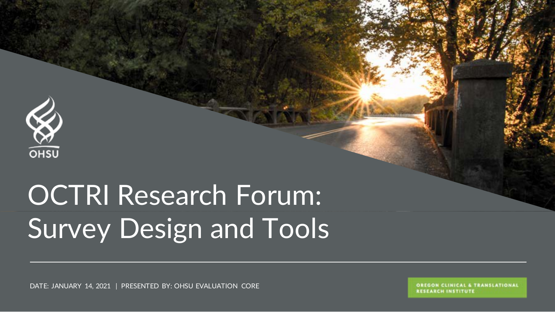

## OCTRI Research Forum: Survey Design and Tools

DATE: JANUARY 14, 2021 | PRESENTED BY: OHSU EVALUATION CORE

OREGON CLINICAL & TRANSLATIONAL **RESEARCH INSTITUTE**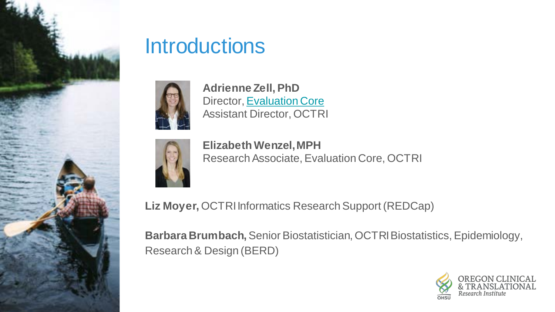

#### **Introductions**



**Adrienne Zell, PhD** Director, [Evaluation Core](https://www.ohsu.edu/octri/plan-and-implement-effective-program-evaluation) Assistant Director, OCTRI



**Elizabeth Wenzel, MPH** Research Associate, Evaluation Core, OCTRI

**Liz Moyer,** OCTRI Informatics Research Support (REDCap)

**Barbara Brumbach,** Senior Biostatistician, OCTRI Biostatistics, Epidemiology, Research & Design (BERD)

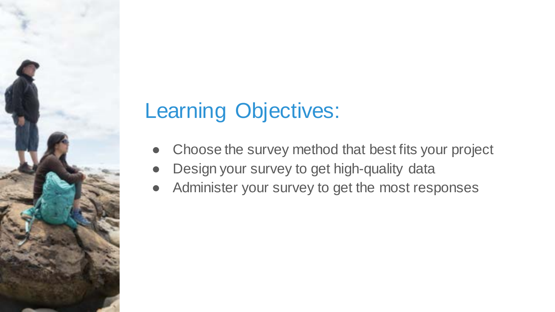### Learning Objectives:

- Choose the survey method that best fits your project
- Design your survey to get high-quality data
- Administer your survey to get the most responses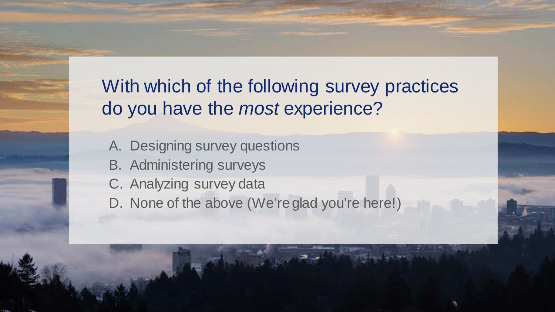With which of the following survey practices do you have the *most* experience?

- A. Designing survey questions
- B. Administering surveys
- C. Analyzing survey data
- D. None of the above (We're glad you're here!)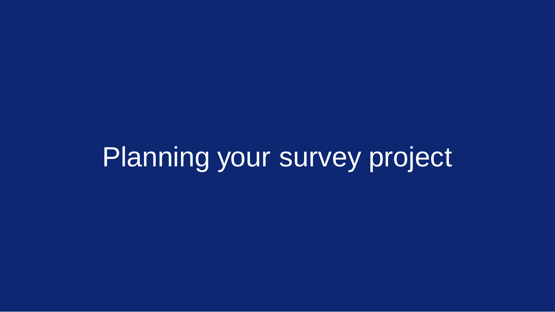## Planning your survey project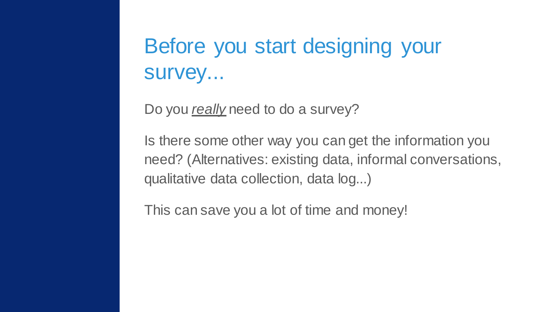### Before you start designing your survey...

Do you *really* need to do a survey?

Is there some other way you can get the information you need? (Alternatives: existing data, informal conversations, qualitative data collection, data log...)

This can save you a lot of time and money!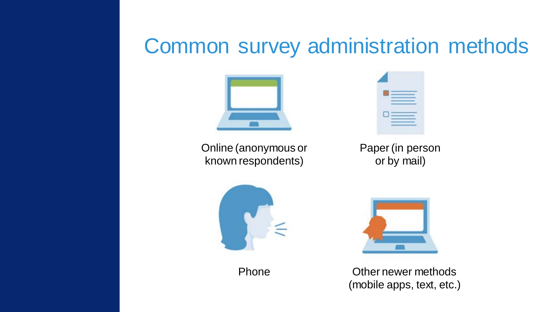#### Common survey administration methods



Online (anonymous or known respondents)



Paper (in person or by mail)



Phone



Other newer methods (mobile apps, text, etc.)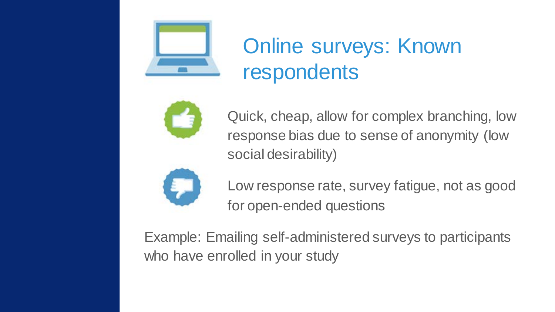

### Online surveys: Known respondents



Quick, cheap, allow for complex branching, low response bias due to sense of anonymity (low social desirability)



Low response rate, survey fatigue, not as good for open-ended questions

Example: Emailing self-administered surveys to participants who have enrolled in your study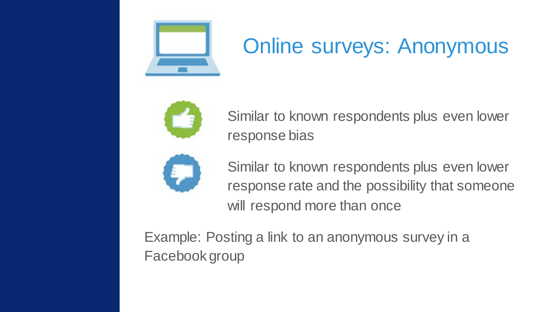

### Online surveys: Anonymous



Similar to known respondents plus even lower response bias



Similar to known respondents plus even lower response rate and the possibility that someone will respond more than once

Example: Posting a link to an anonymous survey in a Facebook group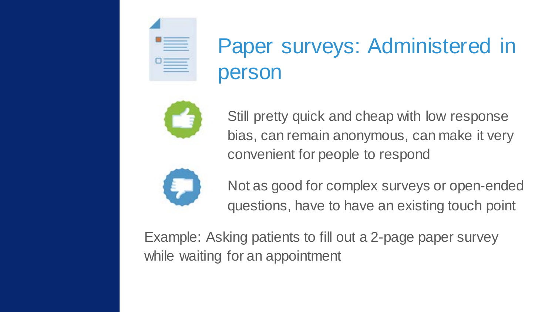

### Paper surveys: Administered in person



Still pretty quick and cheap with low response bias, can remain anonymous, can make it very convenient for people to respond



Not as good for complex surveys or open-ended questions, have to have an existing touch point

Example: Asking patients to fill out a 2-page paper survey while waiting for an appointment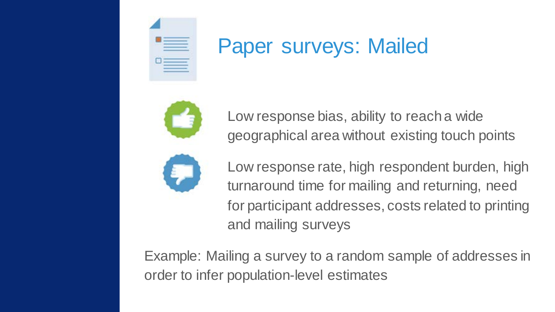

#### Paper surveys: Mailed



Low response bias, ability to reach a wide geographical area without existing touch points



Low response rate, high respondent burden, high turnaround time for mailing and returning, need for participant addresses, costs related to printing and mailing surveys

Example: Mailing a survey to a random sample of addresses in order to infer population-level estimates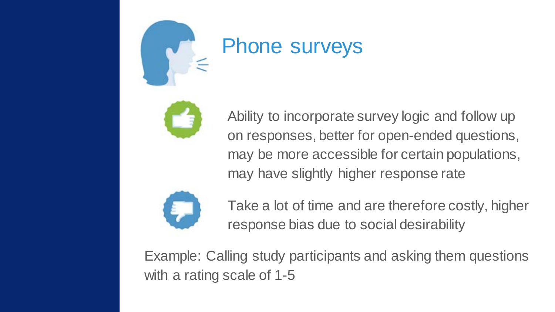

#### Phone surveys



Ability to incorporate survey logic and follow up on responses, better for open-ended questions, may be more accessible for certain populations, may have slightly higher response rate



Take a lot of time and are therefore costly, higher response bias due to social desirability

Example: Calling study participants and asking them questions with a rating scale of 1-5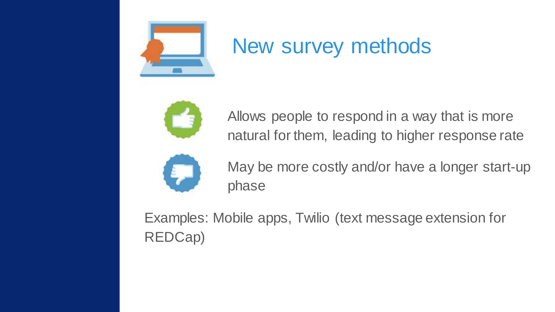

#### New survey methods



Allows people to respond in a way that is more natural for them, leading to higher response rate



May be more costly and/or have a longer start-up phase

Examples: Mobile apps, Twilio (text message extension for REDCap)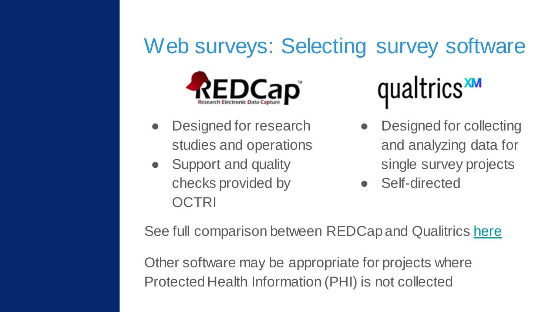### Web surveys: Selecting survey software



- Designed for research studies and operations
- Support and quality checks provided by **OCTRI**

## qualtrics<sup>xM</sup>

- Designed for collecting and analyzing data for single survey projects
- Self-directed

See full comparison between REDCap and Qualitrics [here](https://o2.ohsu.edu/information-technology-group/software/upload/REDCap_vs_Qualtrics20180107.pdf)

Other software may be appropriate for projects where Protected Health Information (PHI) is not collected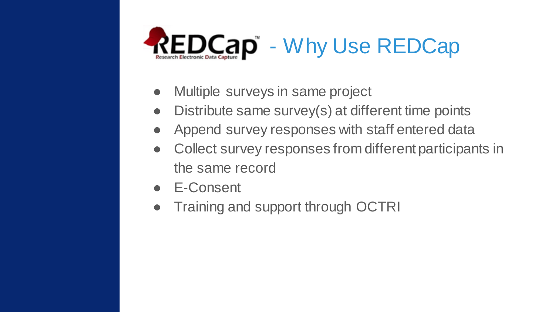

- Multiple surveys in same project
- Distribute same survey(s) at different time points
- Append survey responses with staff entered data
- Collect survey responses from different participants in the same record
- E-Consent
- Training and support through OCTRI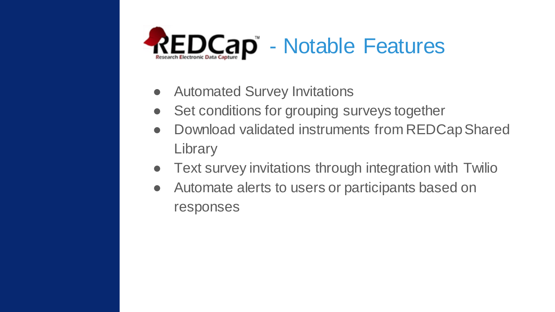

- Automated Survey Invitations
- Set conditions for grouping surveys together
- Download validated instruments from REDCap Shared **Library**
- Text survey invitations through integration with Twilio
- Automate alerts to users or participants based on responses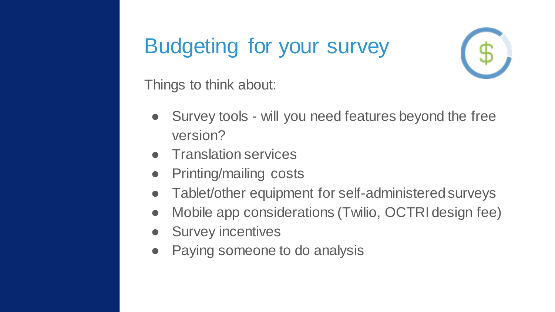#### Budgeting for your survey



Things to think about:

- Survey tools will you need features beyond the free version?
- **Translation services**
- Printing/mailing costs
- Tablet/other equipment for self-administered surveys
- Mobile app considerations (Twilio, OCTRI design fee)
- **Survey incentives**
- Paying someone to do analysis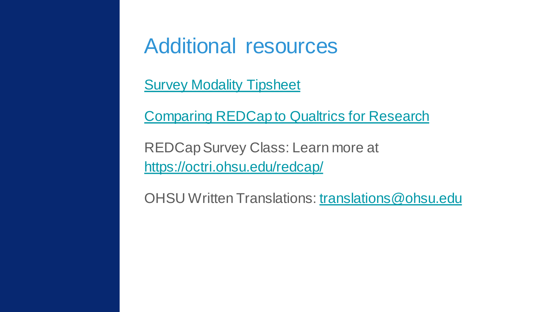#### Additional resources

[Survey Modality Tipsheet](https://dism.duke.edu/files/2020/05/Tipsheet-Survey_Modality.pdf)

[Comparing REDCap to Qualtrics for Research](https://o2.ohsu.edu/information-technology-group/software/upload/REDCap_vs_Qualtrics20180107.pdf)

REDCapSurvey Class: Learn more at <https://octri.ohsu.edu/redcap/>

OHSU Written Translations: [translations@ohsu.edu](mailto:translations@ohsu.edu)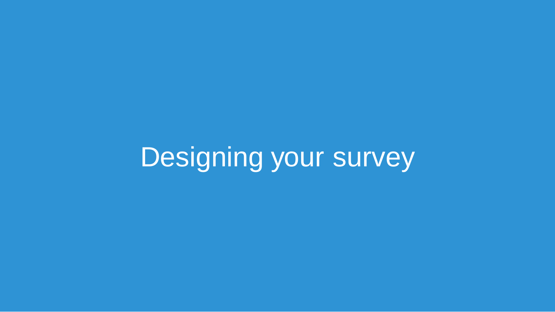## Designing your survey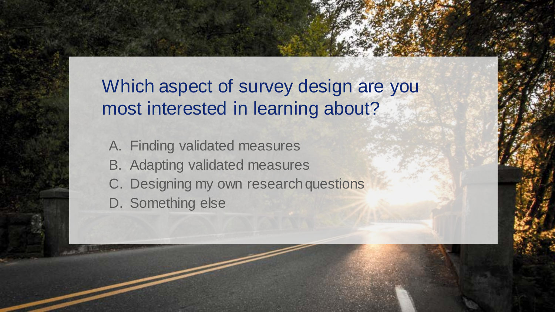#### Which aspect of survey design are you most interested in learning about?

A. Finding validated measures B. Adapting validated measures C. Designing my own research questions D. Something else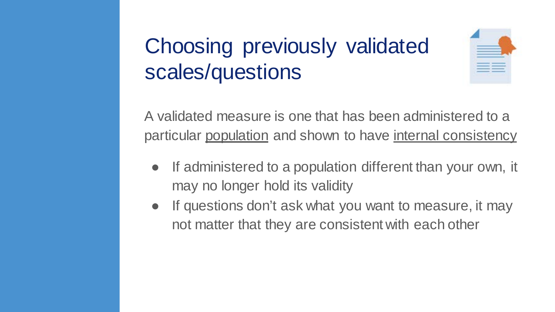### Choosing previously validated scales/questions



A validated measure is one that has been administered to a particular population and shown to have internal consistency

- If administered to a population different than your own, it may no longer hold its validity
- If questions don't ask what you want to measure, it may not matter that they are consistent with each other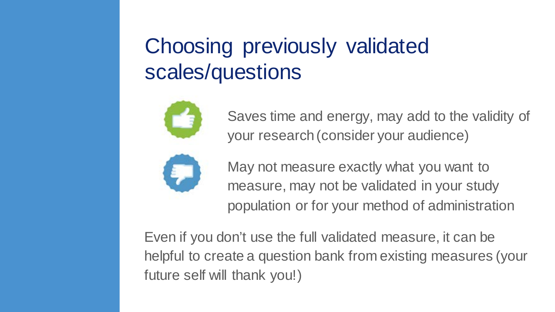### Choosing previously validated scales/questions



Saves time and energy, may add to the validity of your research (consider your audience)



May not measure exactly what you want to measure, may not be validated in your study population or for your method of administration

Even if you don't use the full validated measure, it can be helpful to create a question bank from existing measures (your future self will thank you!)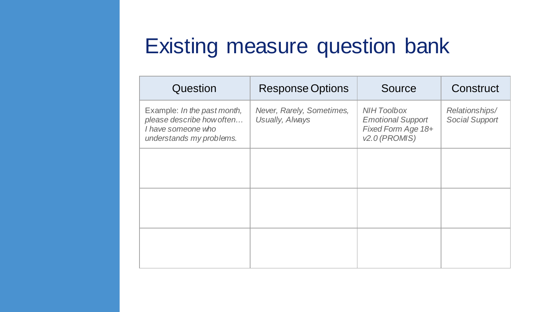#### Existing measure question bank

| Question                                                                                                   | <b>Response Options</b>                      | Source                                                                                  | Construct                        |
|------------------------------------------------------------------------------------------------------------|----------------------------------------------|-----------------------------------------------------------------------------------------|----------------------------------|
| Example: In the past month,<br>please describe how often<br>I have someone who<br>understands my problems. | Never, Rarely, Sometimes,<br>Usually, Always | <b>NIH Toolbox</b><br><b>Emotional Support</b><br>Fixed Form Age 18+<br>$v2.0$ (PROMIS) | Relationships/<br>Social Support |
|                                                                                                            |                                              |                                                                                         |                                  |
|                                                                                                            |                                              |                                                                                         |                                  |
|                                                                                                            |                                              |                                                                                         |                                  |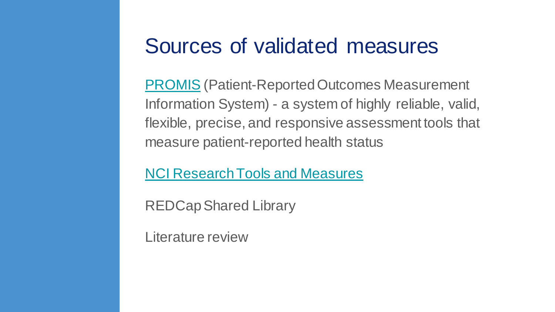#### Sources of validated measures

[PROMIS](https://www.healthmeasures.net/explore-measurement-systems/promis) (Patient-Reported Outcomes Measurement Information System) - a system of highly reliable, valid, flexible, precise, and responsive assessment tools that measure patient-reported health status

[NCI Research Tools and Measures](https://cancercontrol.cancer.gov/publications-data/dccps-public-data-sets-analyses/research-tools-and-measures)

REDCap Shared Library

Literature review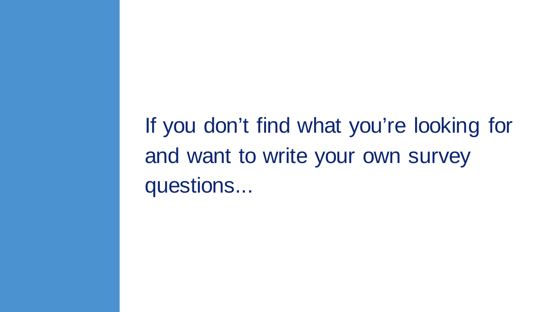If you don't find what you're looking for and want to write your own survey questions...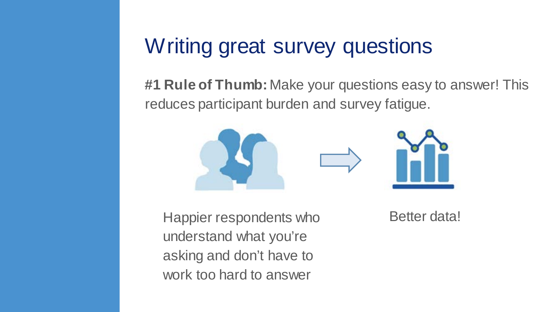#### Writing great survey questions

**#1 Rule of Thumb:** Make your questions easy to answer! This reduces participant burden and survey fatigue.



Happier respondents who understand what you're asking and don't have to work too hard to answer

Better data!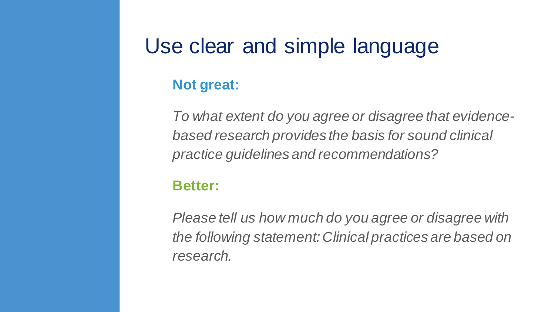#### Use clear and simple language

#### **Not great:**

*To what extent do you agree or disagree that evidencebased research provides the basis for sound clinical practice guidelines and recommendations?*

#### **Better:**

*Please tell us how much do you agree or disagree with the following statement: Clinical practices are based on research.*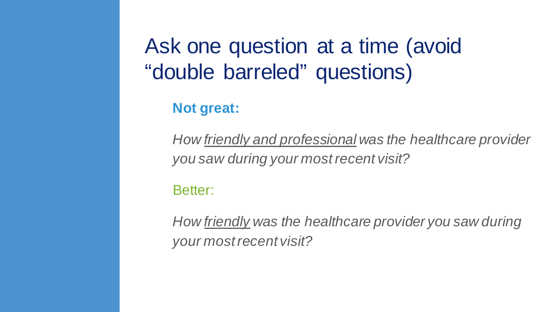#### Ask one question at a time (avoid "double barreled" questions)

**Not great:**

*How friendly and professional was the healthcare provider you saw during your most recent visit?*

Better:

*How friendly was the healthcare provider you saw during your most recent visit?*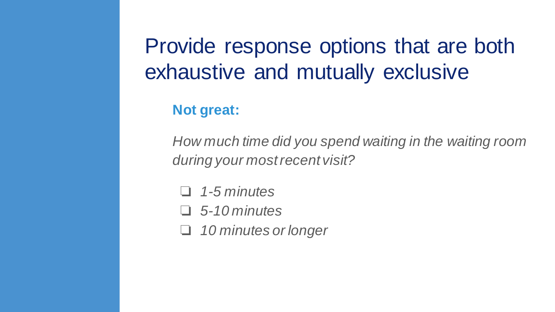### Provide response options that are both exhaustive and mutually exclusive

#### **Not great:**

*How much time did you spend waiting in the waiting room during your most recent visit?*

❏ *1-5 minutes*

❏ *5-10 minutes*

❏ *10 minutes or longer*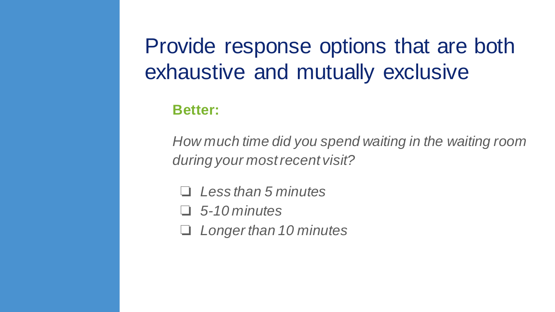#### Provide response options that are both exhaustive and mutually exclusive

#### **Better:**

*How much time did you spend waiting in the waiting room during your most recent visit?*

❏ *Less than 5 minutes*

❏ *5-10 minutes*

❏ *Longer than 10 minutes*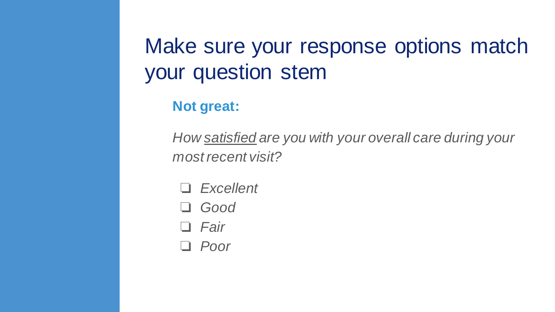### Make sure your response options match your question stem

**Not great:**

*How satisfied are you with your overall care during your most recent visit?*

- ❏ *Excellent*
- ❏ *Good*
- ❏ *Fair*
- ❏ *Poor*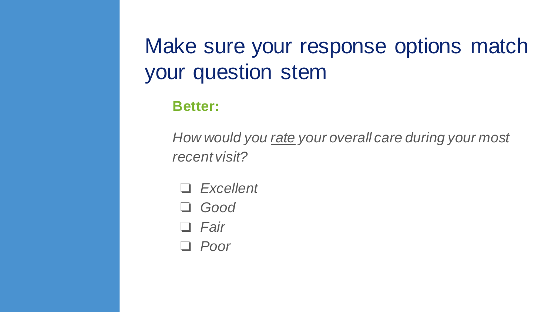### Make sure your response options match your question stem

**Better:**

*How would you rate your overall care during your most recent visit?*

- ❏ *Excellent*
- ❏ *Good*
- ❏ *Fair*
- ❏ *Poor*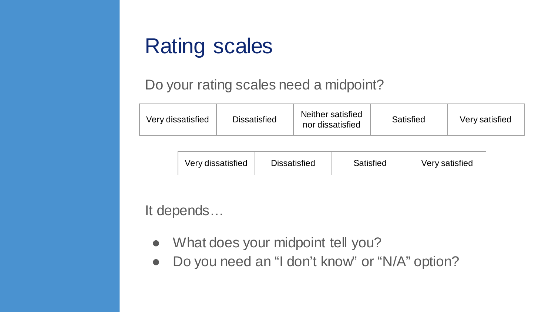#### Rating scales

#### Do your rating scales need a midpoint?

| Very dissatisfied | <b>Dissatisfied</b> | Neither satisfied<br>nor dissatisfied | Satisfied | Very satisfied |
|-------------------|---------------------|---------------------------------------|-----------|----------------|
|-------------------|---------------------|---------------------------------------|-----------|----------------|

|  | Very dissatisfied | <b>Dissatisfied</b> | Satisfied | Very satisfied |
|--|-------------------|---------------------|-----------|----------------|
|--|-------------------|---------------------|-----------|----------------|

It depends…

- What does your midpoint tell you?
- Do you need an "I don't know" or "N/A" option?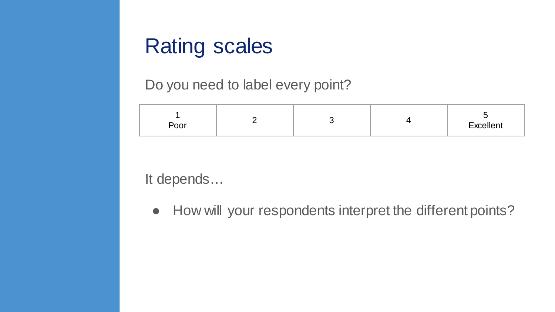#### Rating scales

Do you need to label every point?

| $D_{\mathbf{a}}$<br>$ -$ |  |  |  | .<br>Excellent<br>- ~ |
|--------------------------|--|--|--|-----------------------|
|--------------------------|--|--|--|-----------------------|

It depends…

● How will your respondents interpret the different points?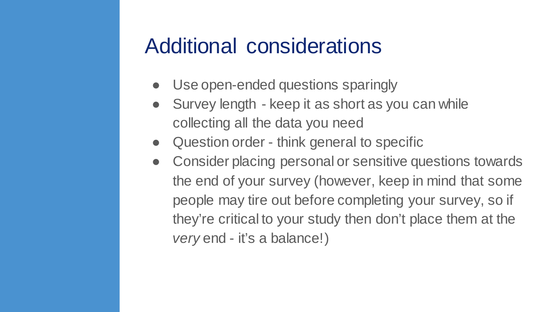#### Additional considerations

- Use open-ended questions sparingly
- Survey length keep it as short as you can while collecting all the data you need
- Question order think general to specific
- Consider placing personal or sensitive questions towards the end of your survey (however, keep in mind that some people may tire out before completing your survey, so if they're critical to your study then don't place them at the *very* end - it's a balance!)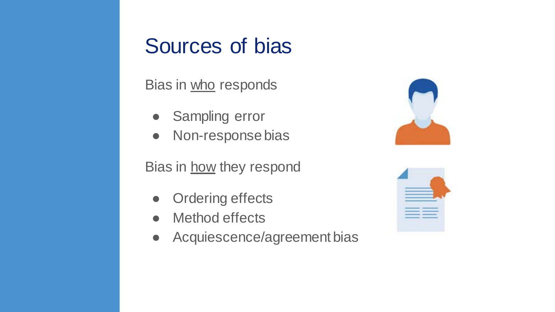#### Sources of bias

Bias in who responds

- Sampling error
- Non-response bias

Bias in how they respond

- Ordering effects
- Method effects
- Acquiescence/agreement bias



| ۰ |
|---|
|   |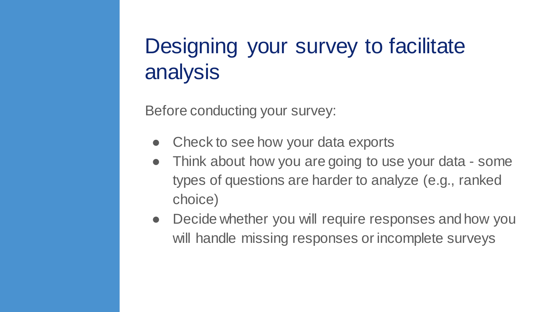### Designing your survey to facilitate analysis

Before conducting your survey:

- Check to see how your data exports
- Think about how you are going to use your data some types of questions are harder to analyze (e.g., ranked choice)
- Decide whether you will require responses and how you will handle missing responses or incomplete surveys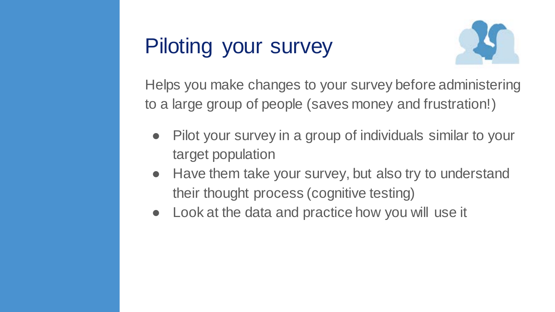### Piloting your survey



Helps you make changes to your survey before administering to a large group of people (saves money and frustration!)

- Pilot your survey in a group of individuals similar to your target population
- Have them take your survey, but also try to understand their thought process (cognitive testing)
- Look at the data and practice how you will use it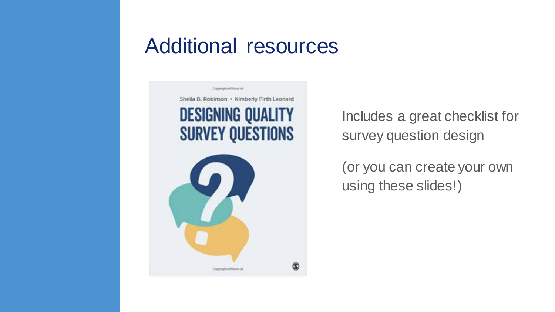#### Additional resources



Includes a great checklist for survey question design

(or you can create your own using these slides!)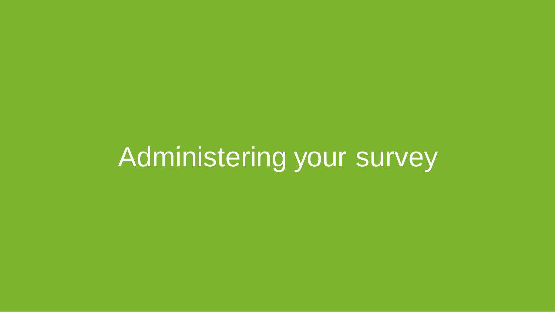## Administering your survey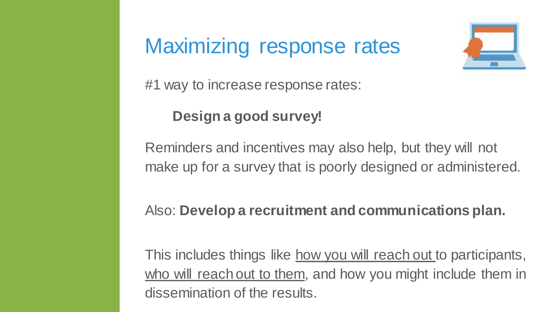#### Maximizing response rates



#1 way to increase response rates:

#### **Design a good survey!**

Reminders and incentives may also help, but they will not make up for a survey that is poorly designed or administered.

#### Also: **Develop a recruitment and communications plan.**

This includes things like how you will reach out to participants, who will reach out to them, and how you might include them in dissemination of the results.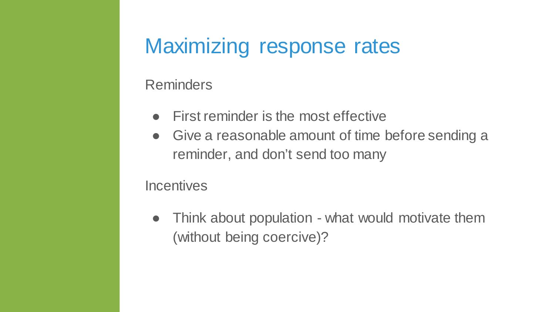#### Maximizing response rates

#### Reminders

- First reminder is the most effective
- Give a reasonable amount of time before sending a reminder, and don't send too many

#### **Incentives**

• Think about population - what would motivate them (without being coercive)?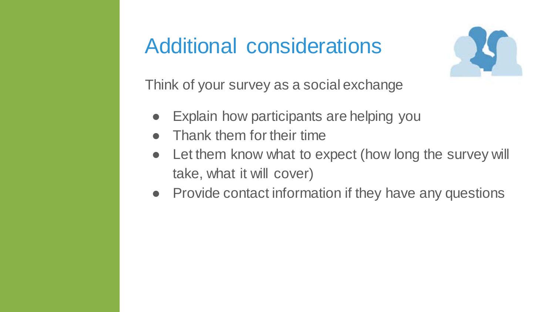#### Additional considerations



Think of your survey as a social exchange

- Explain how participants are helping you
- Thank them for their time
- Let them know what to expect (how long the survey will take, what it will cover)
- Provide contact information if they have any questions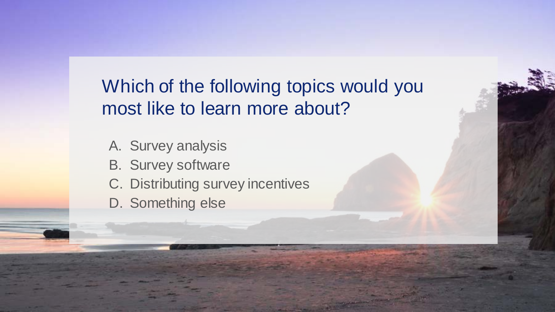#### Which of the following topics would you most like to learn more about?

- A. Survey analysis
- B. Survey software
- C. Distributing survey incentives
- D. Something else